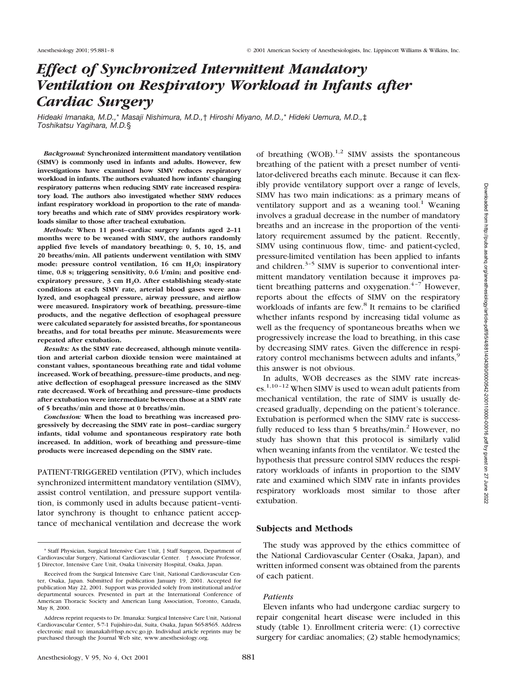# *Effect of Synchronized Intermittent Mandatory Ventilation on Respiratory Workload in Infants after Cardiac Surgery*

*Hideaki Imanaka, M.D.,*\* *Masaji Nishimura, M.D.,*† *Hiroshi Miyano, M.D.,*\* *Hideki Uemura, M.D.,*‡ *Toshikatsu Yagihara, M.D.*§

*Background:* **Synchronized intermittent mandatory ventilation (SIMV) is commonly used in infants and adults. However, few investigations have examined how SIMV reduces respiratory workload in infants. The authors evaluated how infants' changing respiratory patterns when reducing SIMV rate increased respiratory load. The authors also investigated whether SIMV reduces infant respiratory workload in proportion to the rate of mandatory breaths and which rate of SIMV provides respiratory workloads similar to those after tracheal extubation.**

*Methods:* **When 11 post–cardiac surgery infants aged 2–11 months were to be weaned with SIMV, the authors randomly applied five levels of mandatory breathing: 0, 5, 10, 15, and 20 breaths/min. All patients underwent ventilation with SIMV** mode: pressure control ventilation, 16 cm H<sub>2</sub>O; inspiratory **time, 0.8 s; triggering sensitivity, 0.6 l/min; and positive end**expiratory pressure, 3 cm H<sub>2</sub>O. After establishing steady-state **conditions at each SIMV rate, arterial blood gases were analyzed, and esophageal pressure, airway pressure, and airflow were measured. Inspiratory work of breathing, pressure–time products, and the negative deflection of esophageal pressure were calculated separately for assisted breaths, for spontaneous breaths, and for total breaths per minute. Measurements were repeated after extubation.**

*Results:* **As the SIMV rate decreased, although minute ventilation and arterial carbon dioxide tension were maintained at constant values, spontaneous breathing rate and tidal volume increased. Work of breathing, pressure–time products, and negative deflection of esophageal pressure increased as the SIMV rate decreased. Work of breathing and pressure–time products after extubation were intermediate between those at a SIMV rate of 5 breaths/min and those at 0 breaths/min.**

*Conclusion:* **When the load to breathing was increased progressively by decreasing the SIMV rate in post–cardiac surgery infants, tidal volume and spontaneous respiratory rate both increased. In addition, work of breathing and pressure–time products were increased depending on the SIMV rate.**

PATIENT-TRIGGERED ventilation (PTV), which includes synchronized intermittent mandatory ventilation (SIMV), assist control ventilation, and pressure support ventilation, is commonly used in adults because patient–ventilator synchrony is thought to enhance patient acceptance of mechanical ventilation and decrease the work of breathing  $(WOB)^{1,2}$  SIMV assists the spontaneous breathing of the patient with a preset number of ventilator-delivered breaths each minute. Because it can flexibly provide ventilatory support over a range of levels, SIMV has two main indications: as a primary means of ventilatory support and as a weaning tool.<sup>1</sup> Weaning involves a gradual decrease in the number of mandatory breaths and an increase in the proportion of the ventilatory requirement assumed by the patient. Recently, SIMV using continuous flow, time- and patient-cycled, pressure-limited ventilation has been applied to infants and children. $3-5$  SIMV is superior to conventional intermittent mandatory ventilation because it improves patient breathing patterns and oxygenation.<sup>4-7</sup> However, reports about the effects of SIMV on the respiratory workloads of infants are few.<sup>8</sup> It remains to be clarified whether infants respond by increasing tidal volume as well as the frequency of spontaneous breaths when we progressively increase the load to breathing, in this case by decreasing SIMV rates. Given the difference in respiratory control mechanisms between adults and infants,<sup>9</sup> this answer is not obvious.

In adults, WOB decreases as the SIMV rate increases.1,10–12 When SIMV is used to wean adult patients from mechanical ventilation, the rate of SIMV is usually decreased gradually, depending on the patient's tolerance. Extubation is performed when the SIMV rate is successfully reduced to less than  $5$  breaths/min.<sup>2</sup> However, no study has shown that this protocol is similarly valid when weaning infants from the ventilator. We tested the hypothesis that pressure control SIMV reduces the respiratory workloads of infants in proportion to the SIMV rate and examined which SIMV rate in infants provides respiratory workloads most similar to those after extubation.

#### **Subjects and Methods**

The study was approved by the ethics committee of the National Cardiovascular Center (Osaka, Japan), and written informed consent was obtained from the parents of each patient.

## *Patients*

Eleven infants who had undergone cardiac surgery to repair congenital heart disease were included in this study (table 1). Enrollment criteria were: (1) corrective surgery for cardiac anomalies; (2) stable hemodynamics;

<sup>\*</sup> Staff Physician, Surgical Intensive Care Unit, ‡ Staff Surgeon, Department of Cardiovascular Surgery, National Cardiovascular Center. † Associate Professor, § Director, Intensive Care Unit, Osaka University Hospital, Osaka, Japan.

Received from the Surgical Intensive Care Unit, National Cardiovascular Center, Osaka, Japan. Submitted for publication January 19, 2001. Accepted for publication May 22, 2001. Support was provided solely from institutional and/or departmental sources. Presented in part at the International Conference of American Thoracic Society and American Lung Association, Toronto, Canada, May 8, 2000.

Address reprint requests to Dr. Imanaka: Surgical Intensive Care Unit, National Cardiovascular Center, 5-7-1 Fujishiro-dai, Suita, Osaka, Japan 565-8565. Address electronic mail to: imanakah@hsp.ncvc.go.jp. Individual article reprints may be purchased through the Journal Web site, www.anesthesiology.org.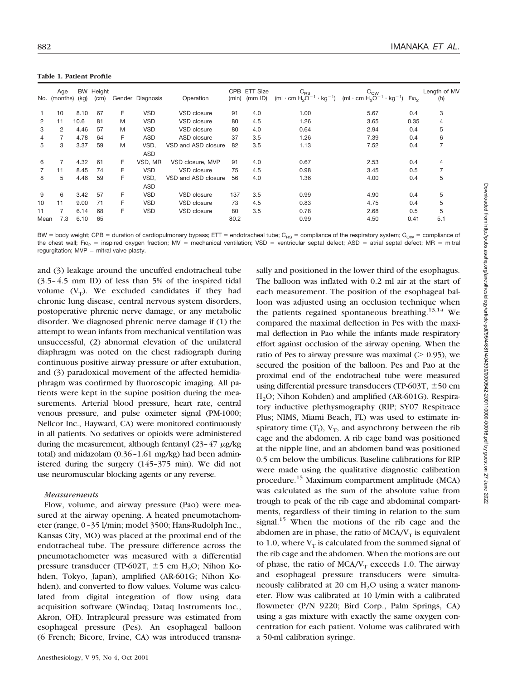|      | Age<br>No. (months) | (kg) | BW Height<br>(c <sub>m</sub> ) |   | Gender Diagnosis | Operation           | <b>CPB</b><br>(min) | <b>ETT Size</b><br>(mm   D) | $C_{RS}$<br>(ml $\cdot$ cm H <sub>2</sub> O <sup>-1</sup> $\cdot$ kg <sup>-1</sup> ) | $C_{\text{CW}}$<br>(ml $\cdot$ cm H <sub>2</sub> O <sup>-1</sup> $\cdot$ kg <sup>-1</sup> ) | FIO <sub>2</sub> | Length of MV<br>(h) |
|------|---------------------|------|--------------------------------|---|------------------|---------------------|---------------------|-----------------------------|--------------------------------------------------------------------------------------|---------------------------------------------------------------------------------------------|------------------|---------------------|
|      | 10                  | 8.10 | 67                             | F | <b>VSD</b>       | VSD closure         | 91                  | 4.0                         | 1.00                                                                                 | 5.67                                                                                        | 0.4              | 3                   |
| 2    | 11                  | 10.6 | 81                             | M | <b>VSD</b>       | VSD closure         | 80                  | 4.5                         | 1.26                                                                                 | 3.65                                                                                        | 0.35             | 4                   |
| 3    | 2                   | 4.46 | 57                             | M | <b>VSD</b>       | VSD closure         | 80                  | 4.0                         | 0.64                                                                                 | 2.94                                                                                        | 0.4              | 5                   |
| 4    | $\overline{7}$      | 4.78 | 64                             | F | <b>ASD</b>       | ASD closure         | 37                  | 3.5                         | 1.26                                                                                 | 7.39                                                                                        | 0.4              | 6                   |
| 5    | 3                   | 3.37 | 59                             | M | VSD,             | VSD and ASD closure | 82                  | 3.5                         | 1.13                                                                                 | 7.52                                                                                        | 0.4              | 7                   |
|      |                     |      |                                |   | <b>ASD</b>       |                     |                     |                             |                                                                                      |                                                                                             |                  |                     |
| 6    | 7                   | 4.32 | 61                             | F | VSD. MR          | VSD closure, MVP    | 91                  | 4.0                         | 0.67                                                                                 | 2.53                                                                                        | 0.4              | 4                   |
|      | 11                  | 8.45 | 74                             | F | <b>VSD</b>       | VSD closure         | 75                  | 4.5                         | 0.98                                                                                 | 3.45                                                                                        | 0.5              |                     |
| 8    | 5                   | 4.46 | 59                             | F | VSD.             | VSD and ASD closure | 56                  | 4.0                         | 1.36                                                                                 | 4.00                                                                                        | 0.4              | 5                   |
|      |                     |      |                                |   | <b>ASD</b>       |                     |                     |                             |                                                                                      |                                                                                             |                  |                     |
| 9    | 6                   | 3.42 | 57                             | F | <b>VSD</b>       | VSD closure         | 137                 | 3.5                         | 0.99                                                                                 | 4.90                                                                                        | 0.4              | 5                   |
| 10   | 11                  | 9.00 | 71                             | F | <b>VSD</b>       | VSD closure         | 73                  | 4.5                         | 0.83                                                                                 | 4.75                                                                                        | 0.4              | 5                   |
| 11   | 7                   | 6.14 | 68                             | F | <b>VSD</b>       | VSD closure         | 80                  | 3.5                         | 0.78                                                                                 | 2.68                                                                                        | 0.5              | 5                   |
| Mean | 7.3                 | 6.10 | 65                             |   |                  |                     | 80.2                |                             | 0.99                                                                                 | 4.50                                                                                        | 0.41             | 5.1                 |

**Table 1. Patient Profile**

BW = body weight; CPB = duration of cardiopulmonary bypass; ETT = endotracheal tube; C<sub>RS</sub> = compliance of the respiratory system; C<sub>CW</sub> = compliance of the chest wall; Fio<sub>2</sub> = inspired oxygen fraction; MV = mechanical ventilation; VSD = ventricular septal defect; ASD = atrial septal defect; MR = mitral regurgitation;  $MVP =$  mitral valve plasty.

and (3) leakage around the uncuffed endotracheal tube (3.5–4.5 mm ID) of less than 5% of the inspired tidal volume  $(V_T)$ . We excluded candidates if they had chronic lung disease, central nervous system disorders, postoperative phrenic nerve damage, or any metabolic disorder. We diagnosed phrenic nerve damage if (1) the attempt to wean infants from mechanical ventilation was unsuccessful, (2) abnormal elevation of the unilateral diaphragm was noted on the chest radiograph during continuous positive airway pressure or after extubation, and (3) paradoxical movement of the affected hemidiaphragm was confirmed by fluoroscopic imaging. All patients were kept in the supine position during the measurements. Arterial blood pressure, heart rate, central venous pressure, and pulse oximeter signal (PM-1000; Nellcor Inc., Hayward, CA) were monitored continuously in all patients. No sedatives or opioids were administered during the measurement, although fentanyl  $(23-47 \mu g/kg)$ total) and midazolam (0.36–1.61 mg/kg) had been administered during the surgery (145–375 min). We did not use neuromuscular blocking agents or any reverse.

## *Measurements*

Flow, volume, and airway pressure (Pao) were measured at the airway opening. A heated pneumotachometer (range, 0–35 l/min; model 3500; Hans-Rudolph Inc., Kansas City, MO) was placed at the proximal end of the endotracheal tube. The pressure difference across the pneumotachometer was measured with a differential pressure transducer (TP-602T,  $\pm$ 5 cm H<sub>2</sub>O; Nihon Kohden, Tokyo, Japan), amplified (AR-601G; Nihon Kohden), and converted to flow values. Volume was calculated from digital integration of flow using data acquisition software (Windaq; Dataq Instruments Inc., Akron, OH). Intrapleural pressure was estimated from esophageal pressure (Pes). An esophageal balloon (6 French; Bicore, Irvine, CA) was introduced transnasally and positioned in the lower third of the esophagus. The balloon was inflated with 0.2 ml air at the start of each measurement. The position of the esophageal balloon was adjusted using an occlusion technique when the patients regained spontaneous breathing.<sup>13,14</sup> We compared the maximal deflection in Pes with the maximal deflection in Pao while the infants made respiratory effort against occlusion of the airway opening. When the ratio of Pes to airway pressure was maximal  $($  > 0.95), we secured the position of the balloon. Pes and Pao at the proximal end of the endotracheal tube were measured using differential pressure transducers (TP-603T,  $\pm$  50 cm H2O; Nihon Kohden) and amplified (AR-601G). Respiratory inductive plethysmography (RIP; SY07 Respitrace Plus; NIMS, Miami Beach, FL) was used to estimate inspiratory time  $(T_1)$ ,  $V_T$ , and asynchrony between the rib cage and the abdomen. A rib cage band was positioned at the nipple line, and an abdomen band was positioned 0.5 cm below the umbilicus. Baseline calibrations for RIP were made using the qualitative diagnostic calibration procedure.15 Maximum compartment amplitude (MCA) was calculated as the sum of the absolute value from trough to peak of the rib cage and abdominal compartments, regardless of their timing in relation to the sum signal.<sup>15</sup> When the motions of the rib cage and the abdomen are in phase, the ratio of  $MCA/V_T$  is equivalent to 1.0, where  $V_T$  is calculated from the summed signal of the rib cage and the abdomen. When the motions are out of phase, the ratio of  $MCA/V_T$  exceeds 1.0. The airway and esophageal pressure transducers were simultaneously calibrated at 20 cm  $H_2O$  using a water manometer. Flow was calibrated at 10 l/min with a calibrated flowmeter (P/N 9220; Bird Corp., Palm Springs, CA) using a gas mixture with exactly the same oxygen concentration for each patient. Volume was calibrated with a 50-ml calibration syringe.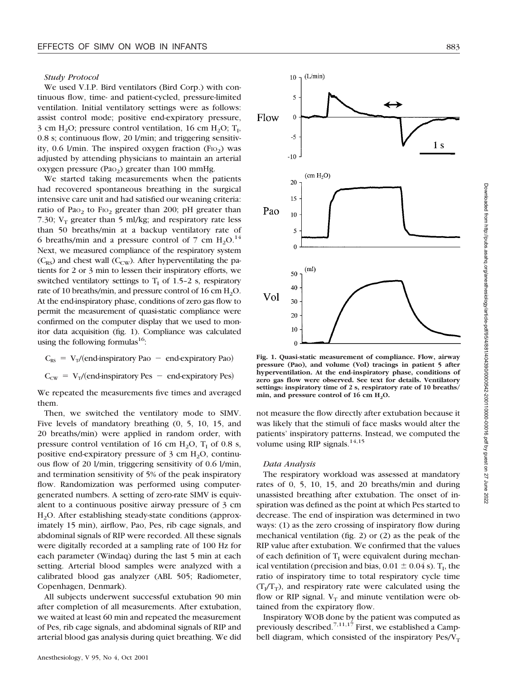# *Study Protocol*

We used V.I.P. Bird ventilators (Bird Corp.) with continuous flow, time- and patient-cycled, pressure-limited ventilation. Initial ventilatory settings were as follows: assist control mode; positive end-expiratory pressure, 3 cm  $H_2O$ ; pressure control ventilation, 16 cm  $H_2O$ ;  $T_1$ , 0.8 s; continuous flow, 20 l/min; and triggering sensitivity,  $0.6$  l/min. The inspired oxygen fraction (F<sub>IO<sub>2</sub>) was</sub> adjusted by attending physicians to maintain an arterial oxygen pressure (Pa $_{2}$ ) greater than 100 mmHg.

We started taking measurements when the patients had recovered spontaneous breathing in the surgical intensive care unit and had satisfied our weaning criteria: ratio of Pao<sub>2</sub> to Fio<sub>2</sub> greater than 200; pH greater than 7.30;  $V_T$  greater than 5 ml/kg; and respiratory rate less than 50 breaths/min at a backup ventilatory rate of 6 breaths/min and a pressure control of 7 cm  $H_2O<sup>14</sup>$ Next, we measured compliance of the respiratory system  $(C_{RS})$  and chest wall  $(C_{CW})$ . After hyperventilating the patients for 2 or 3 min to lessen their inspiratory efforts, we switched ventilatory settings to  $T<sub>I</sub>$  of 1.5–2 s, respiratory rate of 10 breaths/min, and pressure control of 16 cm  $H_2O$ . At the end-inspiratory phase, conditions of zero gas flow to permit the measurement of quasi-static compliance were confirmed on the computer display that we used to monitor data acquisition (fig. 1). Compliance was calculated using the following formulas<sup>16</sup>:

 $C_{RS} = V_T/(end-inspiratory Pao - end-expiratory Pao)$ 

 $C_{\text{cw}} = V_T/(end\text{-inspiratory Pes} - end\text{-expiratory Pes})$ 

We repeated the measurements five times and averaged them.

Then, we switched the ventilatory mode to SIMV. Five levels of mandatory breathing (0, 5, 10, 15, and 20 breaths/min) were applied in random order, with pressure control ventilation of 16 cm  $H_2O$ ,  $T_1$  of 0.8 s, positive end-expiratory pressure of  $3 \text{ cm } H_2O$ , continuous flow of 20 l/min, triggering sensitivity of 0.6 l/min, and termination sensitivity of 5% of the peak inspiratory flow. Randomization was performed using computergenerated numbers. A setting of zero-rate SIMV is equivalent to a continuous positive airway pressure of 3 cm H2O. After establishing steady-state conditions (approximately 15 min), airflow, Pao, Pes, rib cage signals, and abdominal signals of RIP were recorded. All these signals were digitally recorded at a sampling rate of 100 Hz for each parameter (Windaq) during the last 5 min at each setting. Arterial blood samples were analyzed with a calibrated blood gas analyzer (ABL 505; Radiometer, Copenhagen, Denmark).

All subjects underwent successful extubation 90 min after completion of all measurements. After extubation, we waited at least 60 min and repeated the measurement of Pes, rib cage signals, and abdominal signals of RIP and arterial blood gas analysis during quiet breathing. We did



**Fig. 1. Quasi-static measurement of compliance. Flow, airway pressure (Pao), and volume (Vol) tracings in patient 5 after hyperventilation. At the end-inspiratory phase, conditions of zero gas flow were observed. See text for details. Ventilatory settings: inspiratory time of 2 s, respiratory rate of 10 breaths/** min, and pressure control of 16 cm H<sub>2</sub>O.

not measure the flow directly after extubation because it was likely that the stimuli of face masks would alter the patients' inspiratory patterns. Instead, we computed the volume using RIP signals. $14,15$ 

#### *Data Analysis*

The respiratory workload was assessed at mandatory rates of 0, 5, 10, 15, and 20 breaths/min and during unassisted breathing after extubation. The onset of inspiration was defined as the point at which Pes started to decrease. The end of inspiration was determined in two ways: (1) as the zero crossing of inspiratory flow during mechanical ventilation (fig. 2) or (2) as the peak of the RIP value after extubation. We confirmed that the values of each definition of  $T_I$  were equivalent during mechanical ventilation (precision and bias,  $0.01 \pm 0.04$  s). T<sub>I</sub>, the ratio of inspiratory time to total respiratory cycle time  $(T_I/T_T)$ , and respiratory rate were calculated using the flow or RIP signal.  $V_T$  and minute ventilation were obtained from the expiratory flow.

Inspiratory WOB done by the patient was computed as previously described.<sup>7,11,17</sup> First, we established a Campbell diagram, which consisted of the inspiratory  $\text{Pes}/V_T$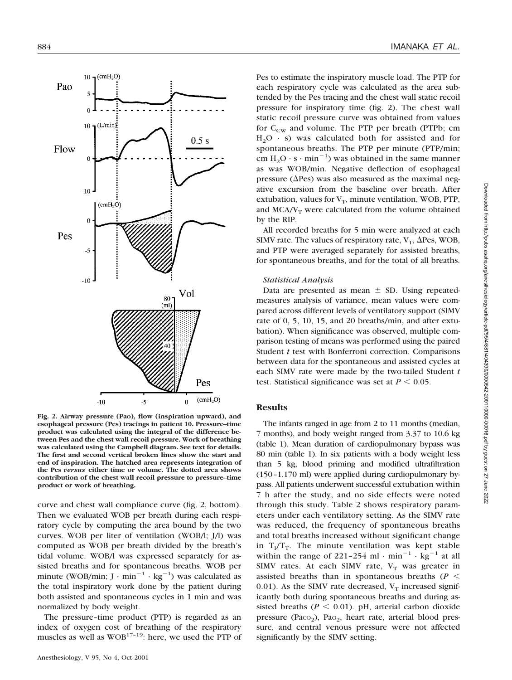

**Fig. 2. Airway pressure (Pao), flow (inspiration upward), and esophageal pressure (Pes) tracings in patient 10. Pressure–time product was calculated using the integral of the difference between Pes and the chest wall recoil pressure. Work of breathing was calculated using the Campbell diagram. See text for details. The first and second vertical broken lines show the start and end of inspiration. The hatched area represents integration of the Pes** *versus* **either time or volume. The dotted area shows contribution of the chest wall recoil pressure to pressure–time product or work of breathing.**

curve and chest wall compliance curve (fig. 2, bottom). Then we evaluated WOB per breath during each respiratory cycle by computing the area bound by the two curves. WOB per liter of ventilation (WOB/l; J/l) was computed as WOB per breath divided by the breath's tidal volume. WOB/l was expressed separately for assisted breaths and for spontaneous breaths. WOB per minute (WOB/min;  $J \cdot min^{-1} \cdot kg^{-1}$ ) was calculated as the total inspiratory work done by the patient during both assisted and spontaneous cycles in 1 min and was normalized by body weight.

The pressure–time product (PTP) is regarded as an index of oxygen cost of breathing of the respiratory muscles as well as  $WOB^{17-19}$ : here, we used the PTP of Pes to estimate the inspiratory muscle load. The PTP for each respiratory cycle was calculated as the area subtended by the Pes tracing and the chest wall static recoil pressure for inspiratory time (fig. 2). The chest wall static recoil pressure curve was obtained from values for  $C_{\text{CW}}$  and volume. The PTP per breath (PTPb; cm  $H<sub>2</sub>O \cdot s$ ) was calculated both for assisted and for spontaneous breaths. The PTP per minute (PTP/min; cm  $H_2O \cdot s \cdot min^{-1}$ ) was obtained in the same manner as was WOB/min. Negative deflection of esophageal pressure ( $\Delta$ Pes) was also measured as the maximal negative excursion from the baseline over breath. After extubation, values for  $V_T$ , minute ventilation, WOB, PTP, and  $MCA/V_T$  were calculated from the volume obtained by the RIP.

All recorded breaths for 5 min were analyzed at each SIMV rate. The values of respiratory rate,  $V_T$ ,  $\Delta$ Pes, WOB, and PTP were averaged separately for assisted breaths, for spontaneous breaths, and for the total of all breaths.

#### *Statistical Analysis*

Data are presented as mean  $\pm$  SD. Using repeatedmeasures analysis of variance, mean values were compared across different levels of ventilatory support (SIMV rate of 0, 5, 10, 15, and 20 breaths/min, and after extubation). When significance was observed, multiple comparison testing of means was performed using the paired Student *t* test with Bonferroni correction. Comparisons between data for the spontaneous and assisted cycles at each SIMV rate were made by the two-tailed Student *t* test. Statistical significance was set at  $P \leq 0.05$ .

#### **Results**

The infants ranged in age from 2 to 11 months (median, 7 months), and body weight ranged from 3.37 to 10.6 kg (table 1). Mean duration of cardiopulmonary bypass was 80 min (table 1). In six patients with a body weight less than 5 kg, blood priming and modified ultrafiltration (150–1,170 ml) were applied during cardiopulmonary bypass. All patients underwent successful extubation within 7 h after the study, and no side effects were noted through this study. Table 2 shows respiratory parameters under each ventilatory setting. As the SIMV rate was reduced, the frequency of spontaneous breaths and total breaths increased without significant change in  $T_{I}/T_{T}$ . The minute ventilation was kept stable within the range of 221-254 ml  $\cdot$  min<sup>-1</sup>  $\cdot$  kg<sup>-1</sup> at all SIMV rates. At each SIMV rate,  $V_T$  was greater in assisted breaths than in spontaneous breaths (*P* 0.01). As the SIMV rate decreased,  $V_T$  increased significantly both during spontaneous breaths and during assisted breaths ( $P \le 0.01$ ). pH, arterial carbon dioxide pressure (Pa $\text{co}_2$ ), Pa $\text{o}_2$ , heart rate, arterial blood pressure, and central venous pressure were not affected significantly by the SIMV setting.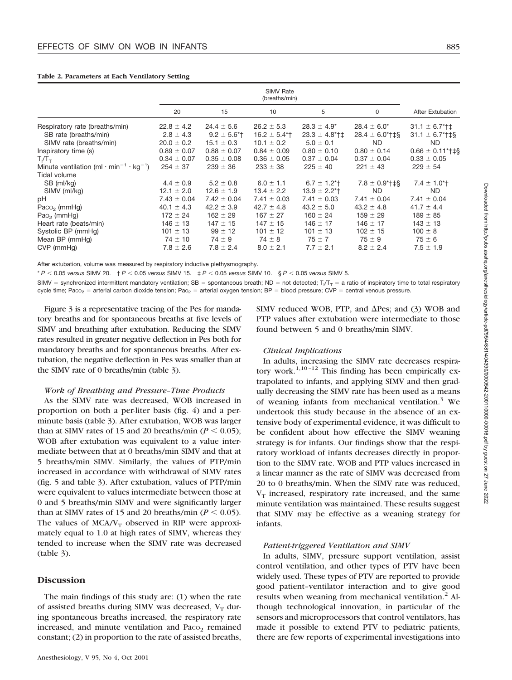|                                                                                                                                                                                                                                                                                                                                                                     | <b>SIMV Rate</b><br>(breaths/min)                                                                                                                                                               |                                                                                                                                                                                                              |                                                                                                                                                                                                               |                                                                                                                                                                                                                         |                                                                                                                                                                                          |                                                                                                                                                                                                                                     |
|---------------------------------------------------------------------------------------------------------------------------------------------------------------------------------------------------------------------------------------------------------------------------------------------------------------------------------------------------------------------|-------------------------------------------------------------------------------------------------------------------------------------------------------------------------------------------------|--------------------------------------------------------------------------------------------------------------------------------------------------------------------------------------------------------------|---------------------------------------------------------------------------------------------------------------------------------------------------------------------------------------------------------------|-------------------------------------------------------------------------------------------------------------------------------------------------------------------------------------------------------------------------|------------------------------------------------------------------------------------------------------------------------------------------------------------------------------------------|-------------------------------------------------------------------------------------------------------------------------------------------------------------------------------------------------------------------------------------|
|                                                                                                                                                                                                                                                                                                                                                                     | 20                                                                                                                                                                                              | 15                                                                                                                                                                                                           | 10                                                                                                                                                                                                            | 5                                                                                                                                                                                                                       | 0                                                                                                                                                                                        | After Extubation                                                                                                                                                                                                                    |
| Respiratory rate (breaths/min)<br>SB rate (breaths/min)<br>SIMV rate (breaths/min)<br>Inspiratory time (s)<br>$T_{\scriptscriptstyle \rm I}/T_{\scriptscriptstyle \rm T}$<br>Minute ventilation (ml $\cdot$ min <sup>-1</sup> $\cdot$ kg <sup>-1</sup> )<br>Tidal volume<br>SB (ml/kg)<br>SIMV (ml/kg)<br>рH<br>Paco <sub>2</sub> (mmHg)<br>Pao <sub>2</sub> (mmHg) | $22.8 \pm 4.2$<br>$2.8 \pm 4.3$<br>$20.0 \pm 0.2$<br>$0.89 \pm 0.07$<br>$0.34 \pm 0.07$<br>$254 \pm 37$<br>$4.4 \pm 0.9$<br>$12.1 \pm 2.0$<br>$7.43 \pm 0.04$<br>$40.1 \pm 4.3$<br>$172 \pm 24$ | $24.4 \pm 5.6$<br>$9.2 \pm 5.6$ <sup>*</sup><br>$15.1 \pm 0.3$<br>$0.88 \pm 0.07$<br>$0.35 \pm 0.08$<br>$239 \pm 36$<br>$5.2 \pm 0.8$<br>$12.6 \pm 1.9$<br>$7.42 \pm 0.04$<br>$42.2 \pm 3.9$<br>$162 \pm 29$ | $26.2 \pm 5.3$<br>$16.2 \pm 5.4$ <sup>*</sup><br>$10.1 \pm 0.2$<br>$0.84 \pm 0.09$<br>$0.36 \pm 0.05$<br>$233 \pm 38$<br>$6.0 \pm 1.1$<br>$13.4 \pm 2.2$<br>$7.41 \pm 0.03$<br>$42.7 \pm 4.8$<br>$167 \pm 27$ | $28.3 \pm 4.9^*$<br>$23.3 \pm 4.8$ *†‡<br>$5.0 \pm 0.1$<br>$0.80 \pm 0.10$<br>$0.37 \pm 0.04$<br>$225 \pm 40$<br>$6.7 \pm 1.2$ <sup>*</sup> t<br>$13.9 \pm 2.2$ *†<br>$7.41 \pm 0.03$<br>$43.2 \pm 5.0$<br>$160 \pm 24$ | $28.4 \pm 6.0^*$<br>$28.4 \pm 6.0$ *†‡§<br>ND.<br>$0.80 \pm 0.14$<br>$0.37 \pm 0.04$<br>$221 \pm 43$<br>$7.8 \pm 0.9$ * † ‡§<br>ND.<br>$7.41 \pm 0.04$<br>$43.2 \pm 4.8$<br>$159 \pm 29$ | $31.1 \pm 6.7$ <sup>*</sup> †‡<br>$31.1 \pm 6.7$ <sup>*</sup> $\pm$ §<br>ND.<br>$0.66 \pm 0.11$ *†‡§<br>$0.33 \pm 0.05$<br>$229 \pm 54$<br>$7.4 \pm 1.0$ <sup>*</sup> t<br>ND.<br>$7.41 \pm 0.04$<br>$41.7 \pm 4.4$<br>$189 \pm 85$ |
| Heart rate (beats/min)<br>Systolic BP (mmHg)<br>Mean BP (mmHg)<br>CVP (mmHq)                                                                                                                                                                                                                                                                                        | $146 \pm 13$<br>$101 \pm 13$<br>$74 \pm 10$<br>$7.8 \pm 2.6$                                                                                                                                    | $147 \pm 15$<br>$99 \pm 12$<br>$74 \pm 9$<br>$7.8 \pm 2.4$                                                                                                                                                   | $147 \pm 15$<br>$101 \pm 12$<br>$74 \pm 8$<br>$8.0 \pm 2.1$                                                                                                                                                   | $146 \pm 17$<br>$101 \pm 13$<br>$75 \pm 7$<br>$7.7 \pm 2.1$                                                                                                                                                             | $146 \pm 17$<br>$102 \pm 15$<br>$75 \pm 9$<br>$8.2 \pm 2.4$                                                                                                                              | $143 \pm 13$<br>$100 \pm 8$<br>$75 \pm 6$<br>$7.5 \pm 1.9$                                                                                                                                                                          |

**Table 2. Parameters at Each Ventilatory Setting**

After extubation, volume was measured by respiratory inductive plethysmography.

\* *P* 0.05 *versus* SIMV 20. † *P* 0.05 *versus* SIMV 15. ‡ *P* 0.05 *versus* SIMV 10. § *P* 0.05 *versus* SIMV 5.

SIMV = synchronized intermittent mandatory ventilation; SB = spontaneous breath; ND = not detected; T<sub>/</sub>T<sub>T</sub> = a ratio of inspiratory time to total respiratory cycle time; Paco<sub>2</sub> = arterial carbon dioxide tension; Pao<sub>2</sub> = arterial oxygen tension; BP = blood pressure; CVP = central venous pressure.

Figure 3 is a representative tracing of the Pes for mandatory breaths and for spontaneous breaths at five levels of SIMV and breathing after extubation. Reducing the SIMV rates resulted in greater negative deflection in Pes both for mandatory breaths and for spontaneous breaths. After extubation, the negative deflection in Pes was smaller than at the SIMV rate of 0 breaths/min (table 3).

## *Work of Breathing and Pressure–Time Products*

As the SIMV rate was decreased, WOB increased in proportion on both a per-liter basis (fig. 4) and a perminute basis (table 3). After extubation, WOB was larger than at SIMV rates of 15 and 20 breaths/min ( $P \le 0.05$ ); WOB after extubation was equivalent to a value intermediate between that at 0 breaths/min SIMV and that at 5 breaths/min SIMV. Similarly, the values of PTP/min increased in accordance with withdrawal of SIMV rates (fig. 5 and table 3). After extubation, values of PTP/min were equivalent to values intermediate between those at 0 and 5 breaths/min SIMV and were significantly larger than at SIMV rates of 15 and 20 breaths/min ( $P \le 0.05$ ). The values of  $MCA/V_T$  observed in RIP were approximately equal to 1.0 at high rates of SIMV, whereas they tended to increase when the SIMV rate was decreased (table 3).

### **Discussion**

The main findings of this study are: (1) when the rate of assisted breaths during SIMV was decreased,  $V_T$  during spontaneous breaths increased, the respiratory rate increased, and minute ventilation and Paco<sub>2</sub> remained constant; (2) in proportion to the rate of assisted breaths, SIMV reduced WOB, PTP, and  $\Delta$ Pes; and (3) WOB and PTP values after extubation were intermediate to those found between 5 and 0 breaths/min SIMV.

#### *Clinical Implications*

In adults, increasing the SIMV rate decreases respiratory work.<sup>1,10-12</sup> This finding has been empirically extrapolated to infants, and applying SIMV and then gradually decreasing the SIMV rate has been used as a means of weaning infants from mechanical ventilation. $3$  We undertook this study because in the absence of an extensive body of experimental evidence, it was difficult to be confident about how effective the SIMV weaning strategy is for infants. Our findings show that the respiratory workload of infants decreases directly in proportion to the SIMV rate. WOB and PTP values increased in a linear manner as the rate of SIMV was decreased from 20 to 0 breaths/min. When the SIMV rate was reduced,  $V<sub>T</sub>$  increased, respiratory rate increased, and the same minute ventilation was maintained. These results suggest that SIMV may be effective as a weaning strategy for infants.

#### *Patient-triggered Ventilation and SIMV*

In adults, SIMV, pressure support ventilation, assist control ventilation, and other types of PTV have been widely used. These types of PTV are reported to provide good patient–ventilator interaction and to give good results when weaning from mechanical ventilation.<sup>2</sup> Although technological innovation, in particular of the sensors and microprocessors that control ventilators, has made it possible to extend PTV to pediatric patients, there are few reports of experimental investigations into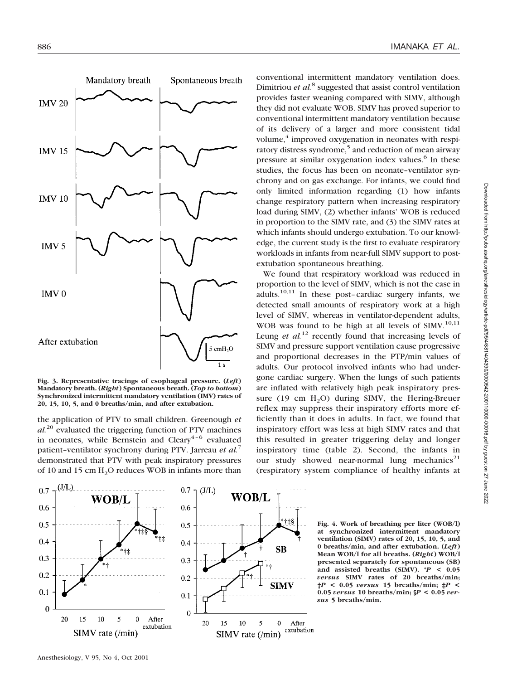

**Fig. 3. Representative tracings of esophageal pressure. (***Left***) Mandatory breath. (***Right***) Spontaneous breath. (***Top to bottom***) Synchronized intermittent mandatory ventilation (IMV) rates of 20, 15, 10, 5, and 0 breaths/min, and after extubation.**

the application of PTV to small children. Greenough *et al.*<sup>20</sup> evaluated the triggering function of PTV machines in neonates, while Bernstein and Cleary<sup>4-6</sup> evaluated patient–ventilator synchrony during PTV. Jarreau *et al.*<sup>7</sup> demonstrated that PTV with peak inspiratory pressures of 10 and 15 cm H<sub>2</sub>O reduces WOB in infants more than

conventional intermittent mandatory ventilation does. Dimitriou *et al.*<sup>8</sup> suggested that assist control ventilation provides faster weaning compared with SIMV, although they did not evaluate WOB. SIMV has proved superior to conventional intermittent mandatory ventilation because of its delivery of a larger and more consistent tidal volume, $<sup>4</sup>$  improved oxygenation in neonates with respi-</sup> ratory distress syndrome,<sup>5</sup> and reduction of mean airway pressure at similar oxygenation index values.<sup>6</sup> In these studies, the focus has been on neonate–ventilator synchrony and on gas exchange. For infants, we could find only limited information regarding (1) how infants change respiratory pattern when increasing respiratory load during SIMV, (2) whether infants' WOB is reduced in proportion to the SIMV rate, and (3) the SIMV rates at which infants should undergo extubation. To our knowledge, the current study is the first to evaluate respiratory workloads in infants from near-full SIMV support to postextubation spontaneous breathing.

We found that respiratory workload was reduced in proportion to the level of SIMV, which is not the case in adults. $10,11$  In these post-cardiac surgery infants, we detected small amounts of respiratory work at a high level of SIMV, whereas in ventilator-dependent adults, WOB was found to be high at all levels of SIMV.<sup>10,11</sup> Leung *et al.*<sup>12</sup> recently found that increasing levels of SIMV and pressure support ventilation cause progressive and proportional decreases in the PTP/min values of adults. Our protocol involved infants who had undergone cardiac surgery. When the lungs of such patients are inflated with relatively high peak inspiratory pressure (19 cm  $H_2O$ ) during SIMV, the Hering-Breuer reflex may suppress their inspiratory efforts more efficiently than it does in adults. In fact, we found that inspiratory effort was less at high SIMV rates and that this resulted in greater triggering delay and longer inspiratory time (table 2). Second, the infants in our study showed near-normal lung mechanics<sup>21</sup> (respiratory system compliance of healthy infants at



**Fig. 4. Work of breathing per liter (WOB/l) at synchronized intermittent mandatory ventilation (SIMV) rates of 20, 15, 10, 5, and 0 breaths/min, and after extubation. (***Left***) Mean WOB/l for all breaths. (***Right***) WOB/l presented separately for spontaneous (SB) and assisted breaths (SIMV). \****P* **< 0.05** *versus* **SIMV rates of 20 breaths/min; †***P* **< 0.05** *versus* **15 breaths/min; ‡***P* **< 0.05** *versus* **10 breaths/min; §***P* **< 0.05** *versus* **5 breaths/min.**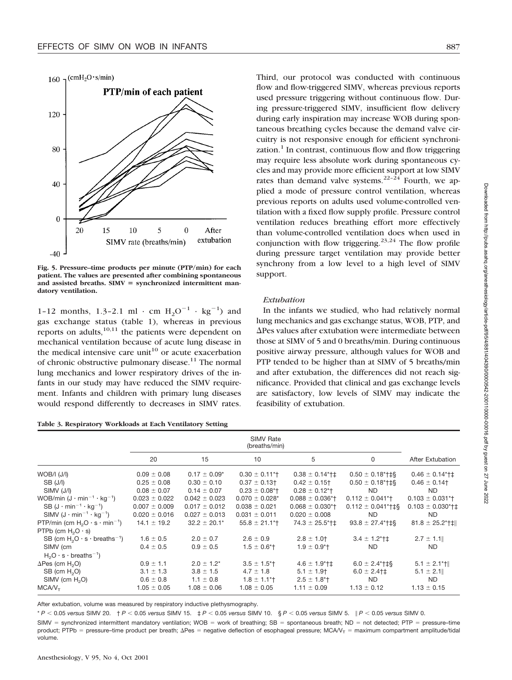



**Fig. 5. Pressure–time products per minute (PTP/min) for each patient. The values are presented after combining spontaneous** and assisted breaths. SIMV = synchronized intermittent man**datory ventilation.**

1-12 months, 1.3-2.1 ml  $\cdot$  cm  $H_2O^{-1} \cdot kg^{-1}$  and gas exchange status (table 1), whereas in previous reports on adults,  $10,11$  the patients were dependent on mechanical ventilation because of acute lung disease in the medical intensive care unit<sup>10</sup> or acute exacerbation of chronic obstructive pulmonary disease.<sup>11</sup> The normal lung mechanics and lower respiratory drives of the infants in our study may have reduced the SIMV requirement. Infants and children with primary lung diseases would respond differently to decreases in SIMV rates.

|  | Table 3. Respiratory Workloads at Each Ventilatory Setting |  |  |
|--|------------------------------------------------------------|--|--|
|--|------------------------------------------------------------|--|--|

Third, our protocol was conducted with continuous flow and flow-triggered SIMV, whereas previous reports used pressure triggering without continuous flow. During pressure-triggered SIMV, insufficient flow delivery during early inspiration may increase WOB during spontaneous breathing cycles because the demand valve circuitry is not responsive enough for efficient synchronization. $<sup>1</sup>$  In contrast, continuous flow and flow triggering</sup> may require less absolute work during spontaneous cycles and may provide more efficient support at low SIMV rates than demand valve systems.<sup>22-24</sup> Fourth, we applied a mode of pressure control ventilation, whereas previous reports on adults used volume-controlled ventilation with a fixed flow supply profile. Pressure control ventilation reduces breathing effort more effectively than volume-controlled ventilation does when used in conjunction with flow triggering.<sup>23,24</sup> The flow profile during pressure target ventilation may provide better synchrony from a low level to a high level of SIMV support.

#### *Extubation*

In the infants we studied, who had relatively normal lung mechanics and gas exchange status, WOB, PTP, and  $\Delta$ Pes values after extubation were intermediate between those at SIMV of 5 and 0 breaths/min. During continuous positive airway pressure, although values for WOB and PTP tended to be higher than at SIMV of 5 breaths/min and after extubation, the differences did not reach significance. Provided that clinical and gas exchange levels are satisfactory, low levels of SIMV may indicate the feasibility of extubation.

|                                                   | 20                | 15                | 10                             | 5                                | 0                                                      | After Extubation                 |
|---------------------------------------------------|-------------------|-------------------|--------------------------------|----------------------------------|--------------------------------------------------------|----------------------------------|
| $WOB/I$ $(J/I)$                                   | $0.09 \pm 0.08$   | $0.17 \pm 0.09^*$ | $0.30 \pm 0.11$ <sup>*</sup> T | $0.38 \pm 0.14$ <sup>*</sup> †‡  | $0.50 \pm 0.18$ <sup>*</sup> †‡§                       | $0.46 \pm 0.14$ <sup>*</sup> †‡  |
| SB (J/I)                                          | $0.25 \pm 0.08$   | $0.30 \pm 0.10$   | $0.37 \pm 0.13$ †              | $0.42 \pm 0.15$                  | $0.50 \pm 0.18$ <sup>*</sup> †‡§                       | $0.46 \pm 0.14$                  |
| SIMV (J/I)                                        | $0.08 \pm 0.07$   | $0.14 \pm 0.07$   | $0.23 \pm 0.08$ <sup>*</sup> t | $0.28 \pm 0.12$ <sup>*</sup> t   | ND.                                                    | ND.                              |
| WOB/min $(J \cdot min^{-1} \cdot kq^{-1})$        | $0.023 \pm 0.022$ | $0.042 \pm 0.023$ | $0.070 \pm 0.028$ *            | $0.088 \pm 0.036$ <sup>*</sup> t | $0.112 \pm 0.041$ <sup>*</sup> t                       | $0.103 \pm 0.031$ <sup>*</sup> t |
| SB $(J \cdot min^{-1} \cdot kq^{-1})$             | $0.007 \pm 0.009$ | $0.017 \pm 0.012$ | $0.038 \pm 0.021$              | $0.068 \pm 0.030$ <sup>*</sup> t | $0.112 \pm 0.041$ <sup>*</sup> $\uparrow \downarrow$ § | $0.103 \pm 0.030$ *†‡            |
| SIMV $(J \cdot min^{-1} \cdot kg^{-1})$           | $0.020 \pm 0.016$ | $0.027 \pm 0.013$ | $0.031 \pm 0.011$              | $0.020 \pm 0.008$                | ND.                                                    | ND.                              |
| PTP/min (cm $H_2O \cdot s \cdot min^{-1}$ )       | $14.1 \pm 19.2$   | $32.2 \pm 20.1*$  | $55.8 \pm 21.1$ *†             | $74.3 \pm 25.5$ *†‡              | $93.8 \pm 27.4$ <sup>*</sup> $\uparrow$ $\downarrow$ § | $81.8 \pm 25.2$ *†‡              |
| PTPb (cm $H_2O \cdot s$ )                         |                   |                   |                                |                                  |                                                        |                                  |
| SB (cm $H_2O \cdot s \cdot \text{breakhs}^{-1}$ ) | $1.6 \pm 0.5$     | $2.0 \pm 0.7$     | $2.6 \pm 0.9$                  | $2.8 \pm 1.0$                    | $3.4 \pm 1.2$ *†‡                                      | $2.7 \pm 1.1$                    |
| SIMV (cm                                          | $0.4 \pm 0.5$     | $0.9 \pm 0.5$     | $1.5 \pm 0.6$ <sup>*</sup> t   | $1.9 \pm 0.9$ <sup>*</sup> t     | ND.                                                    | ND.                              |
| $H2O \cdot s \cdot breaths^{-1}$ )                |                   |                   |                                |                                  |                                                        |                                  |
| $\Delta$ Pes (cm H <sub>2</sub> O)                | $0.9 \pm 1.1$     | $2.0 \pm 1.2^*$   | $3.5 \pm 1.5$ <sup>*</sup>     | $4.6 \pm 1.9$ * † ‡              | $6.0 \pm 2.4$ <sup>*</sup> †‡§                         | $5.1 \pm 2.1$ *†                 |
| SB (cm $H2O$ )                                    | $3.1 \pm 1.3$     | $3.8 \pm 1.5$     | $4.7 \pm 1.8$                  | $5.1 \pm 1.9$ †                  | $6.0 \pm 2.4$ † ‡                                      | $5.1 \pm 2.1$                    |
| $SIMV$ (cm $H2O$ )                                | $0.6 \pm 0.8$     | $1.1 \pm 0.8$     | $1.8 \pm 1.1$ <sup>*</sup>     | $2.5 \pm 1.8$ <sup>*</sup>       | ND.                                                    | ND.                              |
| MCAV <sub>τ</sub>                                 | $1.05 \pm 0.05$   | $1.08 \pm 0.06$   | $1.08 \pm 0.05$                | $1.11 \pm 0.09$                  | $1.13 \pm 0.12$                                        | $1.13 \pm 0.15$                  |

After extubation, volume was measured by respiratory inductive plethysmography.

\* *P* 0.05 *versus* SIMV 20. † *P* 0.05 *versus* SIMV 15. ‡ *P* 0.05 *versus* SIMV 10. § *P* 0.05 *versus* SIMV 5. - *P* 0.05 *versus* SIMV 0.  $SIMV = synchronized internet$  intermittent mandatory ventilation;  $WOB = work$  of breathing;  $SB = spontaneous$  breath;  $ND = not$  detected; PTP = pressure-time product; PTPb = pressure–time product per breath;  $\Delta$ Pes = negative deflection of esophageal pressure; MCA/ $V_T$  = maximum compartment amplitude/tidal volume.